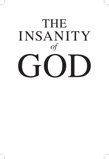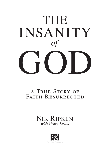

# a True Story of FAITH RESURRECTED

## Nik Ripken *with Gregg Lewis*

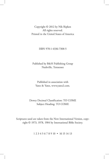Copyright © 2012 by Nik Ripken All rights reserved. Printed in the United States of America

ISBN 978-1-4336-7308-5

Published by B&H Publishing Group Nashville, Tennessee

Published in association with Yates & Yates, www.yates2.com.

Dewey Decimal Classification: TO COME Subject Heading: TO COME

Scriptures used are taken from the New International Version, copyright © 1973, 1978, 1984 by International Bible Society.

1 2 3 4 5 6 7 8 9 10 • 16 15 14 13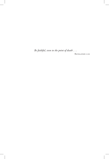*Be faithful, even to the point of death . . .*

Revelation 2:10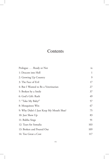## **Contents**

| Prologue Ready or Not                    | ix           |  |
|------------------------------------------|--------------|--|
| 1: Descent into Hell                     | $\mathbf{1}$ |  |
| 2: Growing Up Country                    | 9            |  |
| 3: The Face of Evil                      | 17           |  |
| 4: But I Wanted to Be a Veterinarian     | 27           |  |
| 5: Broken by a Smile                     | 37           |  |
| 6: God's Gift: Ruth                      | 49           |  |
| 7: "Take My Baby!"                       | 57           |  |
| 8: Mosquitoes Win                        | 67           |  |
| 9: Why Didn't I Just Keep My Mouth Shut? | 75           |  |
| 10: Just Show Up                         | 83           |  |
| 11: Bubba Sings                          | 91           |  |
| 12: Tears for Somalia                    | 103          |  |
| 13: Broken and Poured Out                | 109          |  |
| 14: Too Great a Cost                     | 117          |  |

 $\begin{array}{c} \hline \end{array}$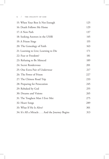| THE INSANITY OF GOD | X |  |  |  |  |
|---------------------|---|--|--|--|--|
|---------------------|---|--|--|--|--|

| 15: When Your Best Is Not Enough              | 125 |
|-----------------------------------------------|-----|
| 16: Death Follows Me Home                     | 129 |
| 17: A New Path                                | 137 |
| 18: Seeking Answers in the USSR               | 145 |
| 19: A Prison Sings                            | 155 |
| 20: The Genealogy of Faith                    | 163 |
| 21: Learning to Live; Learning to Die         | 171 |
| 22: Fear or Freedom?                          | 181 |
| 23: Refusing to Be Silenced                   | 189 |
| 24: Secret Rendezvous                         | 201 |
| 25: One Extra Pair of Underwear               | 217 |
| 26: The Power of Prison                       | 227 |
| 27: The Chinese Road Trip                     | 233 |
| 28: Preparing for Persecution                 | 245 |
| 29: Rebuked by God                            | 255 |
| 30: Dreams and Visions                        | 265 |
| 31: The Toughest Man I Ever Met               | 275 |
| 32: Heart Songs                               | 289 |
| 33: What If He Is Alive?                      | 301 |
| 34: It's All a Miracle And the Journey Begins | 313 |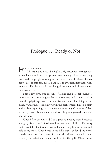### Prologue . . . Ready or Not

First, a confession.

My real name is *not* Nik Ripken. My reason for writing under a pseudonym will become apparent soon enough. Rest assured, my story and the people who appear in it are very real. Many of these people are, to this day, in real danger. It is *their* identities that I want to protect. For this story, I have changed my name and I have changed their names too.

This is my own, true account of a long and personal journey. I share this story not as a great heroic adventure; in fact, much of the time this pilgrimage has felt to me like an endless bumbling, stumbling, wandering, feeling-my-way-in-the-dark ordeal. This is a story with a clear beginning—and an uncertain ending. Or maybe it's better to say that this story starts with one beginning—and ends with another one.

When I first encountered God's grace as a young man, I received it eagerly. My trust in God was innocent and childlike. The story that I was told about God's love and about His gift of salvation took hold of my heart. When I read in the Bible that God loved the world, I understood that I was part of that world. When I was told about God's gift of salvation, I knew that I wanted that gift. When I heard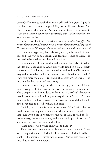about God's desire to reach the entire world with His grace, I quickly saw that I had a personal responsibility to fulfill that mission. And when I opened the book of Acts and encountered God's desire to reach the nations, I concluded quite simply that God intended for me to play a part in that.

Early in my life, it was so matter of fact: *this is what God offers His people; this is what God intends for His people; this is what God expects of His people—and His people, obviously, will respond with obedience and trust.* I am not suggesting that I always got it right, because I did not. But, still, the way to be obedient and trusting seemed so clear. And the need to be obedient was beyond question.

I am not sure if I ever heard it said out loud, but I also picked up the idea that obedience to God's call would result in a life of safety and security. Obedience, it was implied, would lead to effective ministry and measurable results and even success. "The safest place to be," I was told more than once, "is right in the center of God's will." And that sounded both true and reassuring.

I admit, however, my surprise when, many years later, I found myself living a life that was neither safe nor secure. I was stunned when, despite what I considered to be a life of sacrificial obedience, I could point to very little in my ministry that was "effective." There were simply no results to measure. And *success* was a word that I would have never used to describe what I had done.

It might, in fact, be safe to be in the center of God's will—but we would be wise to stop and think about what it means to be safe. I felt that I had lived a life in response to the call of God. Instead of effective ministry, measurable results, and what might pass for success, I felt mostly loss and heartache and failure.

What kind of God would allow this to happen?

That question drove me to a place very close to despair. I was forced to question much of what I believed—much of what I had been taught. The spiritual struggle was intense. Despair was something that I had never known before.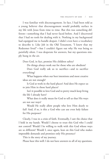I was familiar with discouragement. In fact, I had been told as a young believer that discouragement would probably surface in my life with Jesus from time to time. But this was something different—something that I had never faced before. And I discovered that I had no tools for dealing with it. Nothing in my background had equipped me to handle despair. I didn't even have a vocabulary to describe it. Like Job in the Old Testament, "I knew that my Redeemer lived"—but I couldn't figure out why He was being so painfully silent. I was desperate for answers, but my questions simply hung in the air.

Does God, in fact, promise His children safety?

Do things always work out for those who are obedient?

Does God really ask us to sacrifice—and to sacrifice everything?

What happens when our best intentions and most creative ideas are not enough?

Is God at work in the hard places? And does He expect us to join Him in those hard places?

Isn't it possible to love God and to pretty much keep living the life I already have?

What does it really mean for God to tell us that His ways are not our ways?

Would He really allow people who love Him dearly to fail? And, if so, is this a God who can use even holy failure for His purposes?

Clearly, I was in a crisis of faith. Eventually, I saw the choice that I held in my hands. Would I choose to trust this God who I could not control? Would I be willing to walk with this God whose ways are so different? Would I, once again, lean on this God who makes impossible demands and promises only His presence?

This is the story of my journey.

Please hear this well: I do not have answers to all of my questions.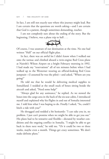#### XIV / THE INSANITY OF GOD

In fact, I am still not exactly sure where this journey might lead. But I am certain that the questions are worth asking—and I am certain that God is a patient, though sometimes demanding, teacher.

I am not completely sure about the ending of the story. But the beginning, I believe, was a plane trip to hell . . .



Of course, I was unaware of our destination at the time. No one had written "Hell" on our official flight plan.

In fact, there was an awful lot I didn't know when I walked out onto the tarmac and climbed aboard a twin-engine Red Cross plane at Nairobi's Wilson Airport on a bright February morning in 1992. I had made my "reservations" all of ten minutes before when I had walked up to the Westerner wearing an official-looking Red Cross jumpsuit—(I assumed he was the pilot)—and asked, "Where are you going?"

He told me that he would be delivering medical supplies to Somaliland. I nodded at the small stack of boxes sitting beside the aircraft and asked, "Need some help?"

"Always glad for any assistance," he replied. As we stowed the boxes into the cargo area in the back of the six-seat cabin, I introduced myself and explained why his flights in and out of Somalia interested me. I told him what I was hoping to do. Finally I asked, "So, could I hitch a ride with you?"

He shrugged and nodded a bit hesitantly: "I can take you in, no problem. I just can't promise when we might be able to get you out." His plans had to be tentative and flexible—dictated by weather conditions and the ongoing conflict in Somalia. "I might be able to get back in there next week," he told me. "Or it could be two or three weeks, maybe even a month. Things get crazy sometimes. We don't make definite plans."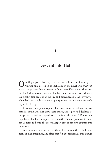1

### Descent into Hell

Our flight path that day took us away from the fertile green Nairobi hills described so idyllically in the novel *Out of Africa,*  across the parched brown terrain of northeast Kenya, and then over the forbidding mountains and desolate desert of southern Ethiopia. We finally dropped out of the sky and descended into hell by way of a bombed-out, single-landing-strip airport on the dusty outskirts of a city called Hargeisa.

This was the regional capital of an area known in colonial days as British Somaliland. Just a few years earlier, the region had declared its independence and attempted to secede from the Somali Democratic Republic. That had prompted the embattled Somali president to order his air force to bomb the second-largest city of his own country into submission.

Within minutes of my arrival there, I was aware that I had never been, or even imagined, any place that felt as oppressed as this. Rough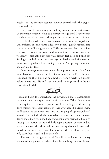patches on the recently repaired runway covered only the biggest cracks and craters.

Every man I saw working or walking around the airport carried an automatic weapon. Next to a nearby storage shed I saw women and children poking wearily through piles of refuse in search of food.

Inside the shed, which was covered by a bomb-damaged roof and enclosed on only three sides, two Somali guards napped atop stacked cases of hand grenades, AK-47s, rocket grenades, land mines and assorted other ordinance and ammunition. That one cache of weaponry—probably sixty feet wide, fifteen feet deep and piled ten feet high—looked to my untrained eyes to hold enough firepower to overthrow a good-sized developing country. And perhaps it would, one day, do just that.

Once arrangements were made for a private car to "taxi" me into Hargeisa, I thanked the Red Cross crew for the lift. The pilot reminded me that it might be anywhere from a week to a month before he returned. He said that he would try to get word to the airport before he did.



I couldn't begin to comprehend the devastation that I encountered traveling from the airport into the city that day. What should have been a quick, five-kilometer jaunt turned into a long and disturbing drive through utter destruction. If I had ever needed a visual image to illustrate the term *war torn,* that picture popped up everywhere I looked. The few individuals I spotted on the streets seemed to be wandering more than walking. They were people who seemed to be going through the motions of life with little hope, uncertain purpose and no real destination. My driver told me that seventy thousand people still called this tortured city home. I also learned that, in all of Hargeisa, only seven houses still had intact roofs.

The worst of the fighting in this Somaliland region of the country had ended many months earlier. Once the bombing runs had halted,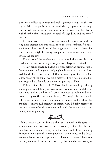a relentless follow-up mortar and rocket-grenade assault on the city began. With that punishment inflicted, the loyal government troops had turned their attention southward again to continue their battle with the rebel clans' militias for control of Mogadishu and the rest of the country.

The southern clans' insurrection eventually succeeded and the long-time dictator fled into exile. Soon the rebel coalition fell apart and former allies turned their violence against each other to determine which factions might be strong enough to seize ultimate control and govern the country.

The worst of the warfare may have moved elsewhere. But the death and destruction wrought for years on Hargeisa remained.

As my driver carefully picked his way, detouring around rubble from collapsed buildings and dodging bomb-craters in the road, I was told that the local people were still finding as many as fifty land mines a day. Many of the explosives were discovered only when stepped on and triggered accidentally by animals or playing children.

This was Somalia in early 1992—a land tormented by a deadly and unprecedented drought. Even worse, this horrific natural disaster had come hard on the heels of a brutal civil war as violent and inhumane as any conflict in human history. Yet, tragically, there would still be many more months and countless more deaths before this crippled country's full measure of misery would finally register on the radar screen of world awareness and shock the international community into responding.



I didn't know a soul in Somalia the day I landed in Hargeisa. An acquaintance who had worked in the country before the civil war somehow made contact on my behalf with a friend of his—a young European man currently working with a German nurse and a Dutch woman who had run an orphanage in Hargeisa for years. Those were the only contacts I had in the entire city. Fortunately, my driver *just*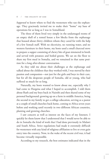#### THE INSANITY OF GOD

*happened* to know where to find the westerners who ran the orphanage. They graciously invited me to make their "home" my base of operations for as long as I was in Somaliland.

The three of them lived very simply in the undamaged rooms of an empty shell of a rented house a few blocks from the orphanage that housed about thirty children whom they cared for with the help of a few Somali staff. With no electricity, no running water, and no western furniture in their home, my hosts used a small charcoal stove to prepare a supper consisting of chewy bits of goat simmered in broth and served with potatoes and boiled greens. We sat on the floor to share my first meal in Somalia, and we remained in that same position for a long after-dinner conversation.

As they told me about their challenges at the orphanage and talked about the children that they worked with, I was moved by their passion and compassion—not just for the girls and boys in their care, but for all the desperate people of Somalia, old or young, who had suffered so much for so long.

Naturally, my hosts wanted to know about me, especially why I had come to Hargeisa and what I hoped to accomplish. I told them about Ruth and my boys back in Nairobi and then shared some of my personal background: growing up on a farm in middle America, being the second in my family to get a college education, serving as a pastor at a couple of small churches back home, coming to Africa seven years before and working until recently in two different African countries, planting and growing churches.

I saw concern as well as interest on the faces of my listeners. I quickly let them know that I understood that I would never be able to do in Somalia the kind of work that I had done previously in Malawi and South Africa. Strict regulations had made it extremely difficult for westerners with any kind of religious affiliation to live or even gain entry into the country. Now, in the wake of the recent civil war, it had become virtually impossible.

According to my research, the best estimates indicated that in the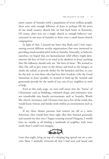entire nation of Somalia (with a population of seven million people) there were only enough followers of Jesus to perhaps fill the pews of one small country church like we had back home in Kentucky. Of course, there was not a single church or enough believers concentrated in one area of Somalia to form even a small house-church congregation.

In light of that, I assured my hosts that Ruth and I were representing several different secular organizations that were interested in providing much-needed relief work in Somalia. Naturally, as believers ourselves, we hoped that our humanitarian relief efforts might demonstrate the love of God as we tried to be obedient to Jesus' teaching that His followers should seek out "the least of these." We wanted to obey His call to give water to the thirsty and food to the hungry, to clothe the naked, to provide shelter for the homeless and lost, to care for the sick, to visit those who had lost their freedom. Like the Good Samaritan in Jesus' parable, we wanted to bind up the wounds and generously provide for the needs of any one of our *neighbors* in need of help.

Even at this early stage, we were well aware that the "forms" of Christianity such as buildings, ordained clergy, and seminaries were not transferable into hostile environments such as Somalia. Words like *church*, *missionary*, and *Christian* were just a few of the words that would harm witness and hinder work within an environment such as this.

If my three dinner partners had written me off as a naïve American, they would have been right. But they listened graciously and assured me that once I began scouting around Hargeisa, I would have no trouble at all finding a multitude of *neighbors* with more needs than I could even imagine.



Later that night, lying on top of a sleeping bag spread out on a concrete floor, I mentally reviewed all that I had seen and heard and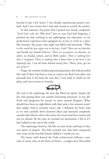#### $6 /$  THE INSANITY OF GOD

learned in just a few hours. I was already experiencing sensory overload. And I was certain that I had only started to scratch the surface.

In that moment, the prayer that I prayed was mostly complaint: *"Lord God, why me? Why here?"* Just in case God had forgotten, I pointed out that nothing in my upbringing, my education, or my professional experience had equipped me to live or work in a place like Somalia. My prayer that night was filled with demands: *"What in the world do you expect me to do here, Lord? There are no churches and hardly any Somali believers. There are no pastors, no deacons, no elders, no Sunday schools, and no Bible studies. There is nothing here that I recognize! There is nothing that I know how to do here! I am hopelessly lost. I am all alone behind enemy lines. Please, Jesus, get me out of here!"*

Forget the months of planning and preparation that had preceded this trip! If there had been a way to contact my Red Cross pilot and persuade him to fly back the next day, I was ready to climb on the plane and never return to Somalia.



My visit to the orphanage the next day lifted my spirits, despite the fact that getting there was another harrowing adventure. It was difficult and dangerous for anyone to move around Hargeisa. What should have been an eight-block walk that took a few minutes wasn't that simple. And it certainly wasn't safe. I followed my hosts' lead as we trod carefully down deserted alleys and detoured completely around other blocks where they knew the streets had been mined and not yet cleared. By the time we reached our destination, I felt as if I had walked to the end of the world.

The orphanage, however, felt like an oasis of joy and hope in that vast desert of despair. The kids crowded into that little compound were some of the best-fed Somali children I would ever see.

The home itself showed the Arab architectural influence common to many cities in the Horn of Africa—a single-story, flat-roofed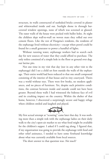structure, its walls constructed of sunbaked bricks covered in plaster and whitewashed inside and out. Sunlight shone in through barcovered window openings, none of which was screened or glassed. The outer walls of the house were pocked with bullet holes. At night the children slept wall-to-wall on woven mats they rolled out over cement floors. Like the rest of Hargeisa's residents, the residents of the orphanage lived without electricity—except when petrol could be found for a small generator to power a handful of lights.

Without running water, orphanage workers had to search each day for new sources of water that they could afford to purchase. The only toilets consisted of a simple hole in the floor or ground over dugout latrine pits.

Not one time in my visit that day (nor in any other visit to the orphanage) did I see a child set foot outside the walls of the orphanage. Their entire world had been reduced to that one small compound consisting of the interior of that house and its tiny courtyard. Theirs was a world without toys. There were few books, no modern appliances, and no pieces of furniture. Yet, despite such primitive conditions, the contrast between inside and outside could not have been greater. Beyond those walls I had witnessed the hideous face of evil and its crushing impact on the country. Within the shelter of that home, however, I discovered a surprisingly secure and happy refuge where children smiled and laughed and played.



My first actual attempt at "scouting" came later that day. It was nothing more than a simple trek with the orphanage ladies on their daily walk to the city's open-air market to see what food might be available for the children's supper. I asked if I could tag along. I figured that, if my organization was going to provide the orphanage with food and other relief assistance, I needed to have some firsthand knowledge about what was currently available from local sources.

The short answer to that question was: *Not much!*